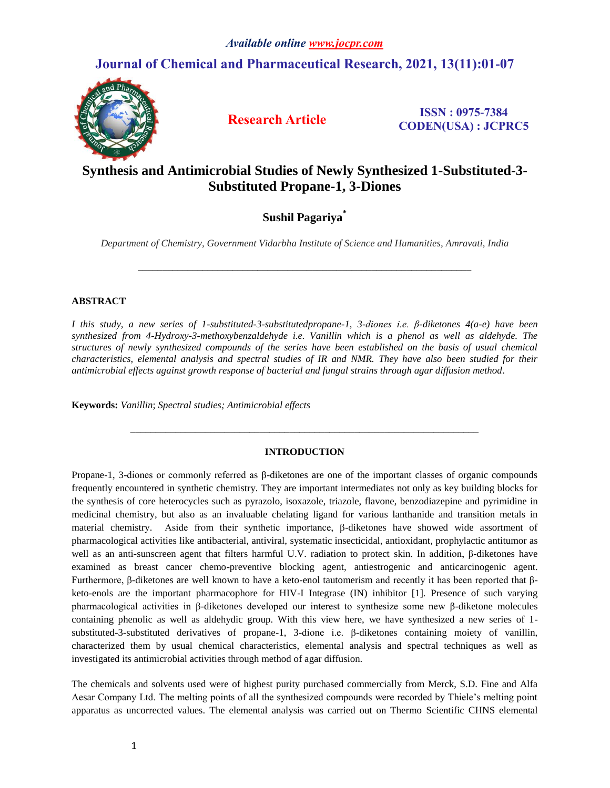# **Journal of Chemical and Pharmaceutical Research, 2021, 13(11):01-07**



**Research Article ISSN : 0975-7384 CODEN(USA) : JCPRC5**

# **Synthesis and Antimicrobial Studies of Newly Synthesized 1-Substituted-3- Substituted Propane-1, 3-Diones**

## **Sushil Pagariya\***

*Department of Chemistry, Government Vidarbha Institute of Science and Humanities, Amravati, India*

*\_\_\_\_\_\_\_\_\_\_\_\_\_\_\_\_\_\_\_\_\_\_\_\_\_\_\_\_\_\_\_\_\_\_\_\_\_\_\_\_\_\_\_\_\_\_\_\_\_\_\_\_\_\_\_\_\_\_\_\_\_\_\_\_\_\_\_*

## **ABSTRACT**

*I this study, a new series of 1-substituted-3-substitutedpropane-1, 3-diones i.e. β-diketones 4(a-e) have been synthesized from 4-Hydroxy-3-methoxybenzaldehyde i.e. Vanillin which is a phenol as well as aldehyde. The structures of newly synthesized compounds of the series have been established on the basis of usual chemical characteristics, elemental analysis and spectral studies of IR and NMR. They have also been studied for their antimicrobial effects against growth response of bacterial and fungal strains through agar diffusion method.*

**Keywords:** *Vanillin*; *Spectral studies; Antimicrobial effects*

## **INTRODUCTION**

*\_\_\_\_\_\_\_\_\_\_\_\_\_\_\_\_\_\_\_\_\_\_\_\_\_\_\_\_\_\_\_\_\_\_\_\_\_\_\_\_\_\_\_\_\_\_\_\_\_\_\_\_\_\_\_\_\_\_\_\_\_\_\_\_\_\_\_\_\_\_*

Propane-1, 3-diones or commonly referred as β-diketones are one of the important classes of organic compounds frequently encountered in synthetic chemistry. They are important intermediates not only as key building blocks for the synthesis of core heterocycles such as pyrazolo, isoxazole, triazole, flavone, benzodiazepine and pyrimidine in medicinal chemistry, but also as an invaluable chelating ligand for various lanthanide and transition metals in material chemistry. Aside from their synthetic importance, β-diketones have showed wide assortment of pharmacological activities like antibacterial, antiviral, systematic insecticidal, antioxidant, prophylactic antitumor as well as an anti-sunscreen agent that filters harmful U.V. radiation to protect skin. In addition, β-diketones have examined as breast cancer chemo-preventive blocking agent, antiestrogenic and anticarcinogenic agent. Furthermore, β-diketones are well known to have a keto-enol tautomerism and recently it has been reported that βketo-enols are the important pharmacophore for HIV-I Integrase (IN) inhibitor [1]. Presence of such varying pharmacological activities in β-diketones developed our interest to synthesize some new β-diketone molecules containing phenolic as well as aldehydic group. With this view here, we have synthesized a new series of 1 substituted-3-substituted derivatives of propane-1, 3-dione i.e. β-diketones containing moiety of vanillin, characterized them by usual chemical characteristics, elemental analysis and spectral techniques as well as investigated its antimicrobial activities through method of agar diffusion.

The chemicals and solvents used were of highest purity purchased commercially from Merck, S.D. Fine and Alfa Aesar Company Ltd. The melting points of all the synthesized compounds were recorded by Thiele's melting point apparatus as uncorrected values. The elemental analysis was carried out on Thermo Scientific CHNS elemental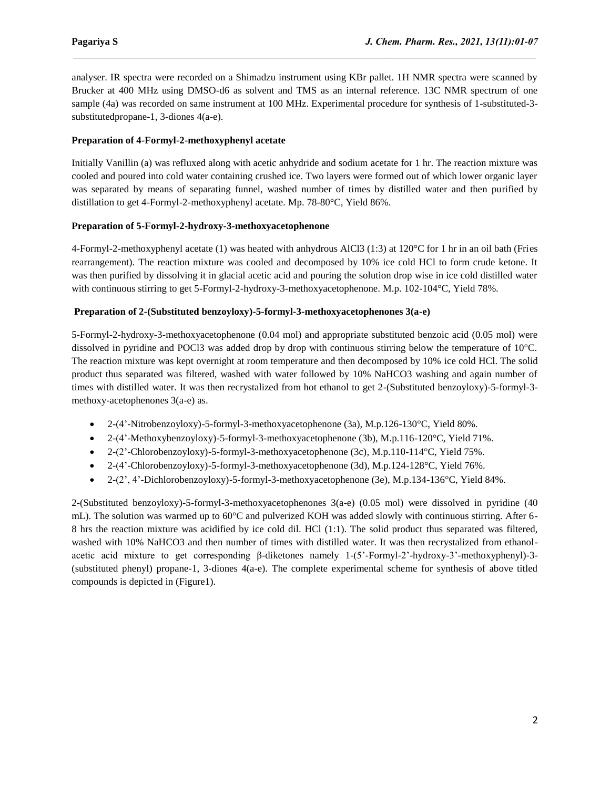analyser. IR spectra were recorded on a Shimadzu instrument using KBr pallet. 1H NMR spectra were scanned by Brucker at 400 MHz using DMSO-d6 as solvent and TMS as an internal reference. 13C NMR spectrum of one sample (4a) was recorded on same instrument at 100 MHz. Experimental procedure for synthesis of 1-substituted-3 substitutedpropane-1, 3-diones 4(a-e).

 $\mathcal{L}_\mathcal{L} = \mathcal{L}_\mathcal{L}$ 

## **Preparation of 4-Formyl-2-methoxyphenyl acetate**

Initially Vanillin (a) was refluxed along with acetic anhydride and sodium acetate for 1 hr. The reaction mixture was cooled and poured into cold water containing crushed ice. Two layers were formed out of which lower organic layer was separated by means of separating funnel, washed number of times by distilled water and then purified by distillation to get 4-Formyl-2-methoxyphenyl acetate. Mp. 78-80°C, Yield 86%.

## **Preparation of 5-Formyl-2-hydroxy-3-methoxyacetophenone**

4-Formyl-2-methoxyphenyl acetate (1) was heated with anhydrous AlCl3 (1:3) at 120°C for 1 hr in an oil bath (Fries rearrangement). The reaction mixture was cooled and decomposed by 10% ice cold HCl to form crude ketone. It was then purified by dissolving it in glacial acetic acid and pouring the solution drop wise in ice cold distilled water with continuous stirring to get 5-Formyl-2-hydroxy-3-methoxyacetophenone. M.p. 102-104 °C, Yield 78%.

## **Preparation of 2-(Substituted benzoyloxy)-5-formyl-3-methoxyacetophenones 3(a-e)**

5-Formyl-2-hydroxy-3-methoxyacetophenone (0.04 mol) and appropriate substituted benzoic acid (0.05 mol) were dissolved in pyridine and POCl3 was added drop by drop with continuous stirring below the temperature of 10°C. The reaction mixture was kept overnight at room temperature and then decomposed by 10% ice cold HCl. The solid product thus separated was filtered, washed with water followed by 10% NaHCO3 washing and again number of times with distilled water. It was then recrystalized from hot ethanol to get 2-(Substituted benzoyloxy)-5-formyl-3 methoxy-acetophenones 3(a-e) as.

- 2-(4'-Nitrobenzoyloxy)-5-formyl-3-methoxyacetophenone (3a), M.p.126-130°C, Yield 80%.
- 2-(4'-Methoxybenzoyloxy)-5-formyl-3-methoxyacetophenone (3b), M.p.116-120°C, Yield 71%.
- $2-(2'-Chlorobenzoyloxy)-5-formyl-3-methoxyacetophenone (3c), M.p.110-114°C, Yield 75%.$
- $2-(4'-Chlorobenzoyloxy)-5-formyl-3-methoxyacetophenone (3d), M.p.124-128°C, Yield 76%.$
- $\bullet$  2-(2', 4'-Dichlorobenzoyloxy)-5-formyl-3-methoxyacetophenone (3e), M.p.134-136 $\degree$ C, Yield 84%.

2-(Substituted benzoyloxy)-5-formyl-3-methoxyacetophenones 3(a-e) (0.05 mol) were dissolved in pyridine (40 mL). The solution was warmed up to 60°C and pulverized KOH was added slowly with continuous stirring. After 6- 8 hrs the reaction mixture was acidified by ice cold dil. HCl (1:1). The solid product thus separated was filtered, washed with 10% NaHCO3 and then number of times with distilled water. It was then recrystalized from ethanolacetic acid mixture to get corresponding β-diketones namely 1-(5'-Formyl-2'-hydroxy-3'-methoxyphenyl)-3- (substituted phenyl) propane-1, 3-diones 4(a-e). The complete experimental scheme for synthesis of above titled compounds is depicted in (Figure1).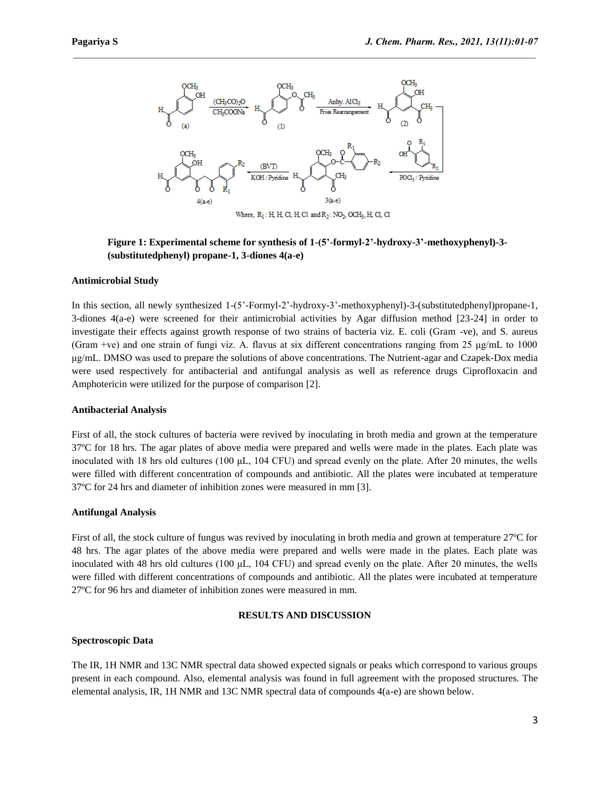

 $\mathcal{L}_\mathcal{L} = \mathcal{L}_\mathcal{L}$ 

**Figure 1: Experimental scheme for synthesis of 1-(5'-formyl-2'-hydroxy-3'-methoxyphenyl)-3- (substitutedphenyl) propane-1, 3-diones 4(a-e)**

#### **Antimicrobial Study**

In this section, all newly synthesized 1-(5'-Formyl-2'-hydroxy-3'-methoxyphenyl)-3-(substitutedphenyl)propane-1, 3-diones 4(a-e) were screened for their antimicrobial activities by Agar diffusion method [23-24] in order to investigate their effects against growth response of two strains of bacteria viz. E. coli (Gram -ve), and S. aureus (Gram +ve) and one strain of fungi viz. A. flavus at six different concentrations ranging from 25 μg/mL to 1000 μg/mL. DMSO was used to prepare the solutions of above concentrations. The Nutrient-agar and Czapek-Dox media were used respectively for antibacterial and antifungal analysis as well as reference drugs Ciprofloxacin and Amphotericin were utilized for the purpose of comparison [2].

#### **Antibacterial Analysis**

First of all, the stock cultures of bacteria were revived by inoculating in broth media and grown at the temperature 37ºC for 18 hrs. The agar plates of above media were prepared and wells were made in the plates. Each plate was inoculated with 18 hrs old cultures (100 μL, 104 CFU) and spread evenly on the plate. After 20 minutes, the wells were filled with different concentration of compounds and antibiotic. All the plates were incubated at temperature 37ºC for 24 hrs and diameter of inhibition zones were measured in mm [3].

#### **Antifungal Analysis**

First of all, the stock culture of fungus was revived by inoculating in broth media and grown at temperature 27ºC for 48 hrs. The agar plates of the above media were prepared and wells were made in the plates. Each plate was inoculated with 48 hrs old cultures (100 μL, 104 CFU) and spread evenly on the plate. After 20 minutes, the wells were filled with different concentrations of compounds and antibiotic. All the plates were incubated at temperature 27ºC for 96 hrs and diameter of inhibition zones were measured in mm.

#### **RESULTS AND DISCUSSION**

#### **Spectroscopic Data**

The IR, 1H NMR and 13C NMR spectral data showed expected signals or peaks which correspond to various groups present in each compound. Also, elemental analysis was found in full agreement with the proposed structures. The elemental analysis, IR, 1H NMR and 13C NMR spectral data of compounds 4(a-e) are shown below.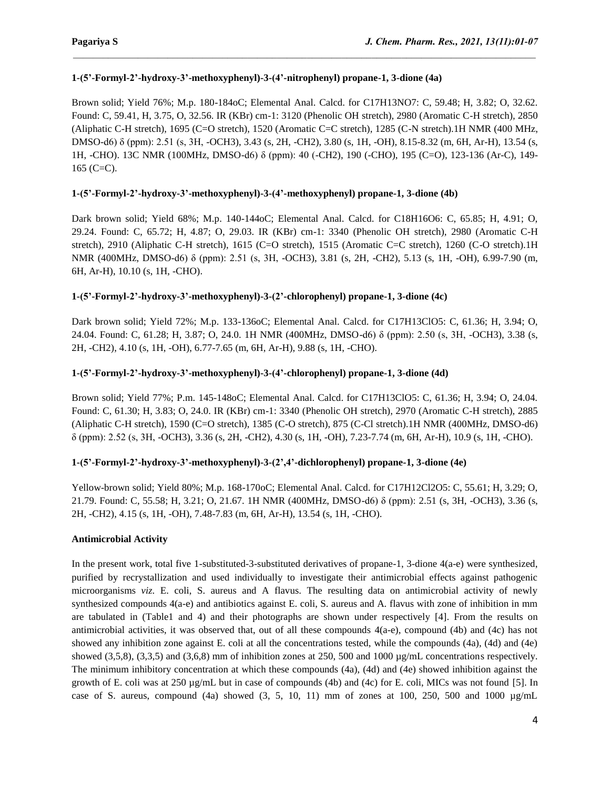## **1-(5'-Formyl-2'-hydroxy-3'-methoxyphenyl)-3-(4'-nitrophenyl) propane-1, 3-dione (4a)**

Brown solid; Yield 76%; M.p. 180-184oC; Elemental Anal. Calcd. for C17H13NO7: C, 59.48; H, 3.82; O, 32.62. Found: C, 59.41, H, 3.75, O, 32.56. IR (KBr) cm-1: 3120 (Phenolic OH stretch), 2980 (Aromatic C-H stretch), 2850 (Aliphatic C-H stretch), 1695 (C=O stretch), 1520 (Aromatic C=C stretch), 1285 (C-N stretch).1H NMR (400 MHz, DMSO-d6) δ (ppm): 2.51 (s, 3H, -OCH3), 3.43 (s, 2H, -CH2), 3.80 (s, 1H, -OH), 8.15-8.32 (m, 6H, Ar-H), 13.54 (s, 1H, -CHO). 13C NMR (100MHz, DMSO-d6) δ (ppm): 40 (-CH2), 190 (-CHO), 195 (C=O), 123-136 (Ar-C), 149- 165 (C=C).

 $\mathcal{L}_\mathcal{L} = \mathcal{L}_\mathcal{L}$ 

## **1-(5'-Formyl-2'-hydroxy-3'-methoxyphenyl)-3-(4'-methoxyphenyl) propane-1, 3-dione (4b)**

Dark brown solid; Yield 68%; M.p. 140-144oC; Elemental Anal. Calcd. for C18H16O6: C, 65.85; H, 4.91; O, 29.24. Found: C, 65.72; H, 4.87; O, 29.03. IR (KBr) cm-1: 3340 (Phenolic OH stretch), 2980 (Aromatic C-H stretch), 2910 (Aliphatic C-H stretch), 1615 (C=O stretch), 1515 (Aromatic C=C stretch), 1260 (C-O stretch).1H NMR (400MHz, DMSO-d6) δ (ppm): 2.51 (s, 3H, -OCH3), 3.81 (s, 2H, -CH2), 5.13 (s, 1H, -OH), 6.99-7.90 (m, 6H, Ar-H), 10.10 (s, 1H, -CHO).

## **1-(5'-Formyl-2'-hydroxy-3'-methoxyphenyl)-3-(2'-chlorophenyl) propane-1, 3-dione (4c)**

Dark brown solid; Yield 72%; M.p. 133-136oC; Elemental Anal. Calcd. for C17H13ClO5: C, 61.36; H, 3.94; O, 24.04. Found: C, 61.28; H, 3.87; O, 24.0. 1H NMR (400MHz, DMSO-d6) δ (ppm): 2.50 (s, 3H, -OCH3), 3.38 (s, 2H, -CH2), 4.10 (s, 1H, -OH), 6.77-7.65 (m, 6H, Ar-H), 9.88 (s, 1H, -CHO).

## **1-(5'-Formyl-2'-hydroxy-3'-methoxyphenyl)-3-(4'-chlorophenyl) propane-1, 3-dione (4d)**

Brown solid; Yield 77%; P.m. 145-148oC; Elemental Anal. Calcd. for C17H13ClO5: C, 61.36; H, 3.94; O, 24.04. Found: C, 61.30; H, 3.83; O, 24.0. IR (KBr) cm-1: 3340 (Phenolic OH stretch), 2970 (Aromatic C-H stretch), 2885 (Aliphatic C-H stretch), 1590 (C=O stretch), 1385 (C-O stretch), 875 (C-Cl stretch).1H NMR (400MHz, DMSO-d6) δ (ppm): 2.52 (s, 3H, -OCH3), 3.36 (s, 2H, -CH2), 4.30 (s, 1H, -OH), 7.23-7.74 (m, 6H, Ar-H), 10.9 (s, 1H, -CHO).

## **1-(5'-Formyl-2'-hydroxy-3'-methoxyphenyl)-3-(2',4'-dichlorophenyl) propane-1, 3-dione (4e)**

Yellow-brown solid; Yield 80%; M.p. 168-170oC; Elemental Anal. Calcd. for C17H12Cl2O5: C, 55.61; H, 3.29; O, 21.79. Found: C, 55.58; H, 3.21; O, 21.67. 1H NMR (400MHz, DMSO-d6) δ (ppm): 2.51 (s, 3H, -OCH3), 3.36 (s, 2H, -CH2), 4.15 (s, 1H, -OH), 7.48-7.83 (m, 6H, Ar-H), 13.54 (s, 1H, -CHO).

## **Antimicrobial Activity**

In the present work, total five 1-substituted-3-substituted derivatives of propane-1, 3-dione 4(a-e) were synthesized, purified by recrystallization and used individually to investigate their antimicrobial effects against pathogenic microorganisms *viz*. E. coli, S. aureus and A flavus. The resulting data on antimicrobial activity of newly synthesized compounds 4(a-e) and antibiotics against E. coli, S. aureus and A. flavus with zone of inhibition in mm are tabulated in (Table1 and 4) and their photographs are shown under respectively [4]. From the results on antimicrobial activities, it was observed that, out of all these compounds 4(a-e), compound (4b) and (4c) has not showed any inhibition zone against E. coli at all the concentrations tested, while the compounds (4a), (4d) and (4e) showed  $(3,5,8)$ ,  $(3,3,5)$  and  $(3,6,8)$  mm of inhibition zones at 250, 500 and 1000  $\mu$ g/mL concentrations respectively. The minimum inhibitory concentration at which these compounds (4a), (4d) and (4e) showed inhibition against the growth of E. coli was at 250 µg/mL but in case of compounds (4b) and (4c) for E. coli, MICs was not found [5]. In case of S. aureus, compound  $(4a)$  showed  $(3, 5, 10, 11)$  mm of zones at 100, 250, 500 and 1000  $\mu$ g/mL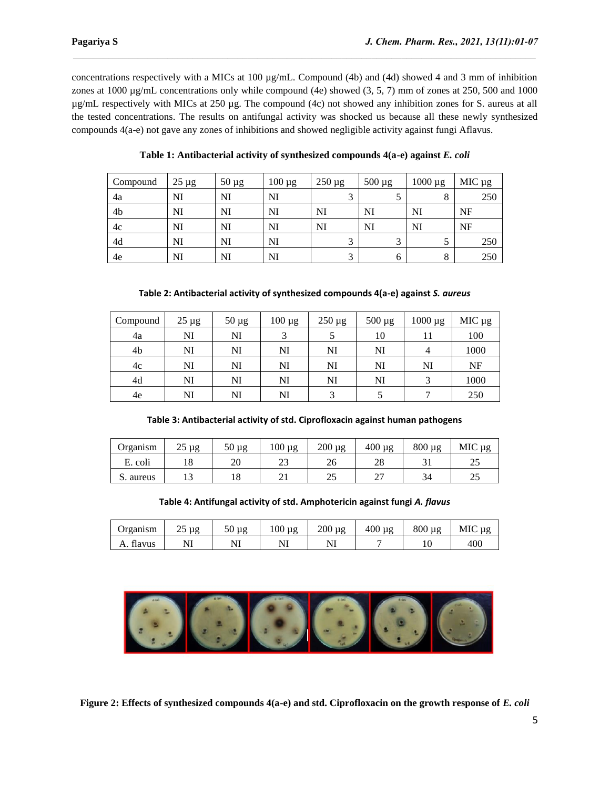concentrations respectively with a MICs at 100 µg/mL. Compound (4b) and (4d) showed 4 and 3 mm of inhibition zones at 1000 µg/mL concentrations only while compound (4e) showed (3, 5, 7) mm of zones at 250, 500 and 1000 µg/mL respectively with MICs at 250 µg. The compound (4c) not showed any inhibition zones for S. aureus at all the tested concentrations. The results on antifungal activity was shocked us because all these newly synthesized compounds 4(a-e) not gave any zones of inhibitions and showed negligible activity against fungi Aflavus.

 $\mathcal{L}_\mathcal{L} = \mathcal{L}_\mathcal{L}$ 

| Compound | $25 \mu g$ | $50 \mu g$ | $100 \mu g$ | $250 \mu g$ | $500 \mu g$ | 1000 µg | MIC µg |
|----------|------------|------------|-------------|-------------|-------------|---------|--------|
| 4a       | NI         | NI         | NI          |             |             | $\circ$ | 250    |
| 4b       | NI         | NI         | NI          | NI          | NI          | NI      | NF     |
| 4c       | NI         | NI         | NI          | NI          | NI          | NI      | NF     |
| 4d       | NI         | NI         | NI          |             |             |         | 250    |
| 4e       | NI         | NI         | NI          |             |             | 8       | 250    |

**Table 1: Antibacterial activity of synthesized compounds 4(a-e) against** *E. coli*

**Table 2: Antibacterial activity of synthesized compounds 4(a-e) against** *S. aureus*

| Compound | $25 \mu g$ | $50 \mu g$ | $100 \mu g$ | $250 \mu g$ | $500 \mu g$ | $1000 \mu g$ | MIC µg |
|----------|------------|------------|-------------|-------------|-------------|--------------|--------|
| 4a       | NI         | NI         |             |             | 10          |              | 100    |
| 4b       | NI         | NI         | NI          | NI          | NI          | 4            | 1000   |
| 4c       | NI         | NI         | NI          | NI          | NI          | NI           | NF     |
| 4d       | NI         | NI         | NI          | NI          | NI          |              | 1000   |
| 4e       | NI         | NI         | NI          | ⌒           |             |              | 250    |

## **Table 3: Antibacterial activity of std. Ciprofloxacin against human pathogens**

| Organism  | າເ<br>μg<br>ر∠ | 50<br>μg | 100<br>μg | 200<br>$\mu$ g | $400 \mu g$ | $800 \mu g$ | MIC µg |
|-----------|----------------|----------|-----------|----------------|-------------|-------------|--------|
| E. coli   | 10             | ററ<br>∠∪ | رے        | 26             | ററ<br>۷Ò    |             | ر_ر    |
| S. aureus | ⊥⊃             | 18       |           | n =<br>ر_      | ∸           | 34          | ر_ر    |

**Table 4: Antifungal activity of std. Amphotericin against fungi** *A. flavus*

| Organism     | μg<br>ر_ | 50<br>μg | 100<br>μg | 200<br>μg | 400<br>μg | $800 \mu g$ | <b>MIC</b><br>μg |
|--------------|----------|----------|-----------|-----------|-----------|-------------|------------------|
| flavus<br>А. |          | $N^r$    |           | 1 V 1     |           | ⊥∪          | 400              |



**Figure 2: Effects of synthesized compounds 4(a-e) and std. Ciprofloxacin on the growth response of** *E. coli*